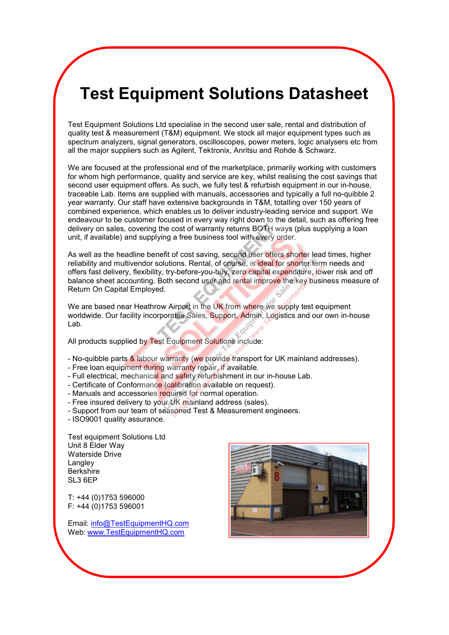## **Test Equipment Solutions Datasheet**

Test Equipment Solutions Ltd specialise in the second user sale, rental and distribution of quality test & measurement (T&M) equipment. We stock all major equipment types such as spectrum analyzers, signal generators, oscilloscopes, power meters, logic analysers etc from all the major suppliers such as Agilent, Tektronix, Anritsu and Rohde & Schwarz.

We are focused at the professional end of the marketplace, primarily working with customers for whom high performance, quality and service are key, whilst realising the cost savings that second user equipment offers. As such, we fully test & refurbish equipment in our in-house, traceable Lab. Items are supplied with manuals, accessories and typically a full no-quibble 2 year warranty. Our staff have extensive backgrounds in T&M, totalling over 150 years of combined experience, which enables us to deliver industry-leading service and support. We endeavour to be customer focused in every way right down to the detail, such as offering free delivery on sales, covering the cost of warranty returns BOTH ways (plus supplying a loan unit, if available) and supplying a free business tool with every order.

As well as the h[eadline benefit of cost saving, second user offers shorter lead](www.testequipmenthq.com) times, higher reliability and multivendor solutions. Rental, of course, is ideal for shorter term needs and offers fast delivery, flexibility, try-before-you-buy, zero capital expenditure, lower risk and off balance sheet accounting. Both second user and rental improve the key business measure of Return On Capital Employed.

We are based near Heathrow Airport in the UK from where we supply test equipment worldwide. Our facility incorporates Sales, Support, Admin, Logistics and our own in-house Lab.

All products supplied by Test Equipment Solutions include:

- No-quibble parts & labour warranty (we provide transport for UK mainland addresses).
- Free loan equipment during warranty repair, if available.
- Full electrical, mechanical and safety refurbishment in our in-house Lab.
- Certificate of Conformance (calibration available on request).
- Manuals and accessories required for normal operation.
- Free insured delivery to your UK mainland address (sales).
- Support from our team of seasoned Test & Measurement engineers.
- ISO9001 quality assurance.

Test equipment Solutions Ltd Unit 8 Elder Way Waterside Drive Langley **Berkshire** SL3 6EP

T: +44 (0)1753 596000 F: +44 (0)1753 596001

Email: info@TestEquipmentHQ.com Web: www.TestEquipmentHQ.com

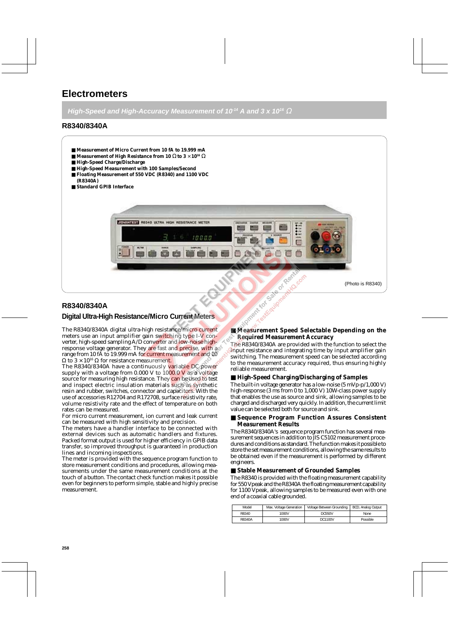## **Electrometers**

**High-Speed and High-Accuracy Measurement of 10<sup>-14</sup> A and 3 x 10<sup>-6</sup> Ω** 

## **R8340/8340A**

- Measurement of Micro Current from 10 fA to 19.999 mA
- **Measurement of High Resistance from 10** Ω **to 3** × **1016** Ω
- **High-Speed Charge/Discharge**
- **High-Speed Measurement with 100 Samples/Second**
- **Floating Measurement of 550 VDC (R8340) and 1100 VDC (R8340A)**
- **Standard GPIB Interface**



## **R8340/8340A**

## **Digital Ultra-High Resistan[ce/Micro Current Meters](www.testequipmenthq.com)**

The R8340/8340A digital ultra-high resistance/micro current meters use an input amplifier gain switching type I-V converter, high-speed sampling A/D converter and low-noise highresponse voltage generator. They are fast and precise, with a range from 10 fA to 19.999 mA for current measurement and 10  $Ω$  to 3 × 10<sup>16</sup>  $Ω$  for resistance measurement.

The R8340/8340A have a continuously variable DC power supply with a voltage from  $0.000$  V to  $1000.0$  V as a voltage source for measuring high resistance. They can be used to test and inspect electric insulation materials such as synthetic resin and rubber, switches, connector and capacitors. With the use of accessories R12704 and R172708, surface resistivity rate, volume resistivity rate and the effect of temperature on both rates can be measured.

For micro current measurement, ion current and leak current can be measured with high sensitivity and precision.

The meters have a handler interface to be connected with external devices such as automatic handlers and fixtures. Packed format output is used for higher efficiency in GPIB data transfer, so improved throughput is guaranteed in production lines and incoming inspections.

The meter is provided with the sequence program function to store measurement conditions and procedures, allowing measurements under the same measurement conditions at the touch of a button. The contact check function makes it possible even for beginners to perform simple, stable and highly precise measurement.

# **EXAMPLE SPEED Selectable Depending on the Required Measurement Accuracy**

The R8340/8340A are provided with the function to select the input resistance and integrating time by input amplifier gain switching. The measurement speed can be selected according to the measurement accuracy required, thus ensuring highly reliable measurement.

#### ■ **High-Speed Charging/Discharging of Samples**

The built-in voltage generator has a low-noise  $(5 \text{ mVp-p/1,000 V})$ high-response (3 ms from 0 to 1,000 V) 10W-class power supply that enables the use as source and sink, allowing samples to be charged and discharged very quickly. In addition, the current limit value can be selected both for source and sink.

#### ■ Sequence Program Function Assures Consistent **Measurement Results**

The R8340/8340A's sequence program function has several measurement sequences in addition to JIS C5102 measurement procedures and conditions as standard. The function makes it possible to store the set measurement conditions, allowing the same results to be obtained even if the measurement is performed by different engineers.

#### ■ **Stable Measurement of Grounded Samples**

The R8340 is provided with the floating measurement capability for 550 Vpeak and the R8340A the floating measurement capability for 1100 Vpeak, allowing samples to be measured even with one end of a coaxial cable grounded.

| Model  | Max. Voltage Generation | Voltage Between Grounding   BCD, Analog Output |          |
|--------|-------------------------|------------------------------------------------|----------|
| R8340  | 1000V                   | <b>DC550V</b>                                  | None     |
| R8340A | 1000V                   | DC1100V                                        | Possible |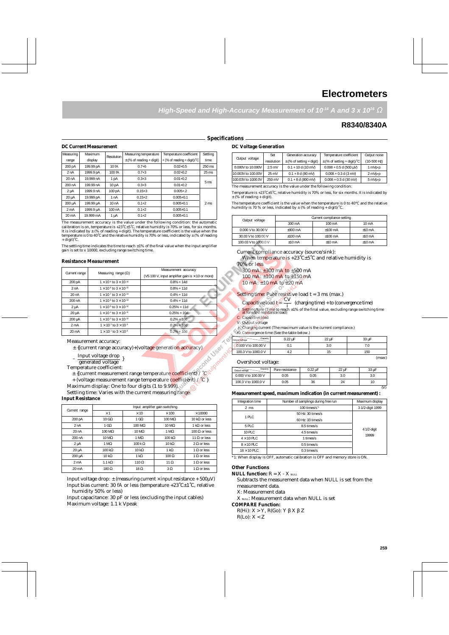## **Electrometers**

**High-Speed and High-Accuracy Measurement of 10<sup>14</sup> A and 3 x 10<sup>16</sup> Ω** 

## **R8340/8340A**

#### **Specifications**

#### **DC Current Measurement**

| Measuring        | Maximum   | Resolution | Measuring temperature        | Temperature coefficient     | Settling        |
|------------------|-----------|------------|------------------------------|-----------------------------|-----------------|
| range            | display   |            | $\pm$ (% of reading + digit) | + (% of reading + digit)/ C | time            |
| 200 pA           | 199.99 pA | 10 fA      | $0.7 + 6$                    | $0.02 + 0.5$                | 250 ms          |
| 2 nA             | 1999.9 pA | 100 fA     | $0.7 + 3$                    | $0.02 + 0.2$                | $25 \text{ ms}$ |
| 20nA             | 19.999 nA | 1 pA       | $0.3 + 3$                    | $0.01 + 0.2$                | 5 <sub>ms</sub> |
| 200 nA           | 199.99 nA | 10pA       | $0.3 + 3$                    | $0.01 + 0.2$                |                 |
| 2 <sub>µ</sub> A | 1999.9 nA | 100 pA     | $0.15 + 3$                   | $0.005 + .2$                |                 |
| 20 µA            | 19.999 pA | 1 nA       | $0.15+2$                     | $0.005 + 0.1$               |                 |
| 200 µA           | 199.99 µA | 10 nA      | $0.1 + 2$                    | $0.005 + 0.1$               | 2 <sub>ms</sub> |
| 2 <sub>m</sub> A | 1999.9 µA | 100 nA     | $0.1 + 2$                    | $0.005 + 0.1$               |                 |
| 20 mA            | 19.999 mA | 1 µA       | $0.1 + 2$                    | $0.005 + 0.1$               |                 |
|                  |           |            |                              |                             |                 |

The measurement accuracy is the value under the following condition: the automatic calibration is on, temperature is +23˚C±5˚C, relative humidity is 70% or less, for six months. It is indicated by ± (% of reading + digit). The temperature coefficient is the value when the temperature is 0 to  $40^{\circ}$ C and the relative humidity is 70% or less, indicated by  $\pm$  (% of reading temperature is 0 to  $40^{\circ}$ C and the relative humidity is 70% or less, indicated by  $\pm$  (% of reading + digit)˚C.

The settling time indicates the time to reach  $\pm 1\%$  of the final value when the input amplifier gain is set to x 10000, excluding range switching time.

#### **Resistance Measurement**

|                  |                                         | Measurement accuracy                                    |
|------------------|-----------------------------------------|---------------------------------------------------------|
| Current range    | Measuring range $(\Omega)$              | (VS 100 V, input amplifier gain is $\times$ 10 or more) |
| 200 pA           | $1 \times 10^{9}$ to $3 \times 10^{16}$ | $0.8\% + 14d$                                           |
| 2 nA             | $1 \times 10^{8}$ to $3 \times 10^{15}$ | $0.8\% + 11d$                                           |
| 20 nA            | $1 \times 10^{7}$ to $3 \times 10^{14}$ | $0.4\% + 11d$                                           |
| 200 nA           | $1 \times 10^{6}$ to $3 \times 10^{13}$ | $0.4\% + 11d$                                           |
| $2 \mu A$        | $1 \times 10^{5}$ to $3 \times 10^{12}$ | $0.25\% + 11d$                                          |
| 20 µA            | $1 \times 10^{4}$ to $3 \times 10^{11}$ | $0.25% + 10d$                                           |
| 200 µA           | $1 \times 10^{3}$ to $3 \times 10^{10}$ | $0.2% + 10d$                                            |
| 2 <sub>m</sub> A | $1 \times 10^{2}$ to $3 \times 10^{9}$  | $0.2% + 10d$                                            |
| 20 mA            | $1 \times 10^{1}$ to $3 \times 10^{8}$  | $0.2\% + 10d$                                           |

Measurement accuracy:

± {(current range accuracy)+(voltage generation accuracy)

Input voltage drop

 $-\frac{m\nu}{\text{connected values}}$ generated voltage

Temperature coefficient:

 $\pm$  {(current measurement range temperature coefficient) /  $^{\circ}{\rm C}$ 

+ (voltage measurement range temperature coefficient) / °C }

Maximum display: One to four digits (1 to 9.999)

Settling time: Varies with the current measuring range.

#### **Input Resistance**

|                  | Input amplifier gain switching |                       |                       |                       |  |  |
|------------------|--------------------------------|-----------------------|-----------------------|-----------------------|--|--|
| Current range    | $\times$ 1                     | $\times$ 10           | $\times$ 100          | $\times$ 10000        |  |  |
| 200 pA           | 10 $G\Omega$                   | 1 G $\Omega$          | $100 \text{ M}\Omega$ | 10 k $\Omega$ or less |  |  |
| 2 nA             | 1 G $\Omega$                   | $100 \text{ M}\Omega$ | $10 \text{ M}\Omega$  | 1 k $\Omega$ or less  |  |  |
| 20 nA            | $100 \text{ M}\Omega$          | $10 \text{ M}\Omega$  | $1 M\Omega$           | 100 $\Omega$ or less  |  |  |
| 200 nA           | $10 \text{ M}\Omega$           | $1 M\Omega$           | $100 k\Omega$         | 11 $\Omega$ or less   |  |  |
| $2 \mu A$        | $1 M\Omega$                    | $100 k \Omega$        | $10 k\Omega$          | $2 \Omega$ or less    |  |  |
| 20 µA            | $100 k\Omega$                  | $10 k\Omega$          | $1 k\Omega$           | 1 $\Omega$ or less    |  |  |
| 200 µA           | $10 k\Omega$                   | $1 k\Omega$           | $100 \Omega$          | $1 \Omega$ or less    |  |  |
| 2 <sub>m</sub> A | $1.1 k\Omega$                  | 110 $\Omega$          | 11 $\Omega$           | 1 $\Omega$ or less    |  |  |
| 20 mA            | $180 \Omega$                   | $18 \Omega$           | $3\Omega$             | 1 $\Omega$ or less    |  |  |

Input voltage drop:  $\pm$  (measuring current  $\times$  input resistance  $+ 500 \mu V$ ) Input bias current: 30 fA or less (temperature +23˚C±1˚C, relative humidity 50% or less)

Input capacitance: 30 pF or less (excluding the input cables) Maximum voltage: 1.1 k Vpeak

#### **DC Voltage Generation**

| Resolution | Measuring temperature        | Temperature coefficient                      | Settling        | Output voltage | Set                | Generation accuracy          | Temperature coefficient          | Output noise             |         |
|------------|------------------------------|----------------------------------------------|-----------------|----------------|--------------------|------------------------------|----------------------------------|--------------------------|---------|
|            | $\pm$ (% of reading + digit) | $\left  + \right $ (% of reading + digit)/ C | time            |                | resolution         | $\pm$ (% of setting + digit) | $\pm$ (% of setting + digit)/ °C | (10-500 Hz)              |         |
| 10 fA      | $0.7 + 6$                    | $0.02 + 0.5$                                 | 250 ms          |                | 0.000V to 10.000V  | $2.5$ mV                     | $0.1 + 10$ d (10 mV)             | $0.008 + 0.5$ d (500 uV) | 1 mVp-p |
| 100 fA     | $0.7 + 3$                    | $0.02 + 0.2$                                 | $25$ ms         |                | 10.003V to 100.00V | 25 mV                        | $0.1 + 8$ d (80 mV)              | $0.008 + 0.3$ d (3 mV)   | 2 mVp-p |
| DA         | $0.3 + 3$                    | $0.01 + 0.2$                                 | 5 <sub>ms</sub> |                | 100.03V to 1000.0V | 250 mV                       | $0.1 + 8$ d (800 mV)             | $0.008 + 0.3$ d (30 mV)  | 5 mVp-p |
| $10 - 1$   | $\sim$ $\sim$                | 0.01.02                                      |                 |                |                    |                              |                                  |                          |         |

The measurement accuracy is the value under the following condition: Temperature is +23˚C±5˚C, relative humidity is 70% or less, for six months. It is indicated by

 $\pm$  (% of reading + digit).

The temperature coefficient is the value when the temperature is 0 to 40°C and the relative humidity is 70 % or less, indicated by  $\pm$  (% of reading + digit)/ $^{\circ}$ C.

| Output voltage       | Current compliance setting |                   |                  |  |  |
|----------------------|----------------------------|-------------------|------------------|--|--|
|                      | 300 mA                     | 100 mA            | $10 \text{ mA}$  |  |  |
| 0.000 V to 30.00 V   | $+300 \text{ mA}$          | $+100 \text{ mA}$ | $+10 \text{ mA}$ |  |  |
| 30.03 V to 100.00 V  | $+100$ mA                  | $+100 \text{ mA}$ | $±10$ mA         |  |  |
| 100.03 V to 1000.0 V | $+10 \text{ mA}$           | $+10 \text{ mA}$  | $±10$ mA         |  |  |

Current compliance accuracy (source/sink):

When temperature is +23°C±5°C and relative humidity is 70% or less

300 mA: ±300 mA to ±500 mA 100 mA: ±100 mA to ±150 mA

10 mA: ±10 mA to ±20 mA

Settling time: Pure resistive load  $t = 3$  ms (max.)

Capacitive load  $t = \frac{CV}{i}$  (charging time) + to (convergence time) t: Settling time (Time to reach ±1% of the final value, excluding range switching time at forward resistance load) i

C: Capacitive load

JSSex

V: Output voltage

 i: Charging current (The maximum value is the current compliance.) the maximum value.)<br>ويده المعلوم المعلوم العربي

| to. Convergence time (see the table below.) |                   |       |       |  |  |  |  |
|---------------------------------------------|-------------------|-------|-------|--|--|--|--|
| Chapacity<br>Output voltage                 | $0.22 \text{ uF}$ | 22 µF | 33 uF |  |  |  |  |
| 0.000 V to 100.00 V                         |                   |       |       |  |  |  |  |
| 100.3 V to 1000.0 V                         |                   |       | 150   |  |  |  |  |

#### Overshoot voltage:

| Chapacity<br>Output voltage | Pure resistance | $0.22 \mu F$ | 22 µF | 33 µF |
|-----------------------------|-----------------|--------------|-------|-------|
| 0.000 V to 100.00 V         | 0.05            | 0.05         | 3.C   | 3.0   |
| 100.3 V to 1000.0 V         | 0.05            | 36           | 7Δ    | 10    |
|                             |                 |              |       |       |

#### **[Measurement speed, maximum indi](www.testequipmenthq.com)cation (in current measurement) :**

| Integration time                 | Number of samplings during free run | Maximum display  |
|----------------------------------|-------------------------------------|------------------|
| $2 \text{ ms}$                   | 100 times/ $s1$                     | 3 1/2-digit 1999 |
|                                  | 50 Hz: 30 times/s                   |                  |
| 1 PLC                            | 60 Hz: 33 times/s                   |                  |
| 5 PLC                            | 8.5 times/s                         | 4 1/2-digit      |
| 10 PLC                           | 4.5 times/s                         |                  |
| $4 \times 10$ PIC                | 1 times/s                           | 19999            |
| $8 \times 10$ PIC<br>0.5 times/s |                                     |                  |
| $16 \times 10$ PLC               | $0.3$ times/s                       |                  |

\*1: When display is OFF, automatic calibration is OFF and memory store is ON.

#### **Other Functions**

**NULL function:**  $R = X - X_{NUL}$ 

Subtracts the measurement data when NULL is set from the measurement data.

X: Measurement data

X *NULL*: Measurement data when NULL is set

#### **COMPARE Function:**

R(Hi): X > Y, R(Go): Y β X β Z  $R(Lo): X < Z$ 

(msec)